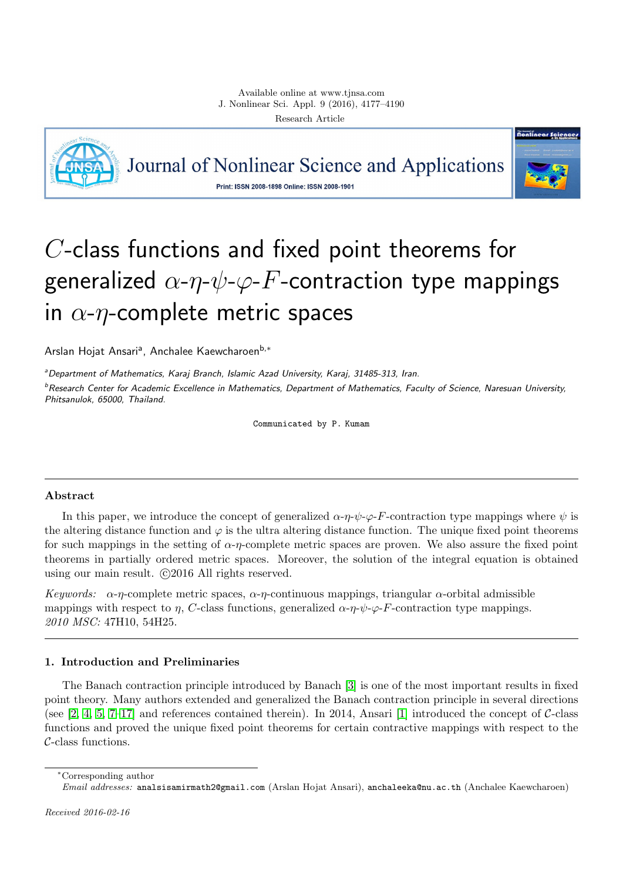

Journal of Nonlinear Science and Applications Print: ISSN 2008-1898 Online: ISSN 2008-1901



# C-class functions and fixed point theorems for generalized  $\alpha-\eta-\psi-\varphi-F$ -contraction type mappings in  $\alpha$ - $\eta$ -complete metric spaces

Arslan Hojat Ansariª, Anchalee Kaewcharoen<sup>b,∗</sup>

<sup>a</sup>Department of Mathematics, Karaj Branch, Islamic Azad University, Karaj, 31485-313, Iran.

 $^b$ Research Center for Academic Excellence in Mathematics, Department of Mathematics, Faculty of Science, Naresuan University, Phitsanulok, 65000, Thailand.

Communicated by P. Kumam

## Abstract

In this paper, we introduce the concept of generalized  $\alpha-\eta-\psi-\varphi-F$ -contraction type mappings where  $\psi$  is the altering distance function and  $\varphi$  is the ultra altering distance function. The unique fixed point theorems for such mappings in the setting of  $\alpha$ -η-complete metric spaces are proven. We also assure the fixed point theorems in partially ordered metric spaces. Moreover, the solution of the integral equation is obtained using our main result.  $\odot$ 2016 All rights reserved.

Keywords:  $\alpha$ -η-complete metric spaces,  $\alpha$ -η-continuous mappings, triangular  $\alpha$ -orbital admissible mappings with respect to  $\eta$ , C-class functions, generalized  $\alpha \neg \eta \neg \psi \neg \varphi \neg F$ -contraction type mappings. 2010 MSC: 47H10, 54H25.

# <span id="page-0-0"></span>1. Introduction and Preliminaries

The Banach contraction principle introduced by Banach [\[3\]](#page-13-0) is one of the most important results in fixed point theory. Many authors extended and generalized the Banach contraction principle in several directions (see  $[2, 4, 5, 7-17]$  $[2, 4, 5, 7-17]$  $[2, 4, 5, 7-17]$  $[2, 4, 5, 7-17]$  $[2, 4, 5, 7-17]$  and references contained therein). In 2014, Ansari  $[1]$  introduced the concept of C-class functions and proved the unique fixed point theorems for certain contractive mappings with respect to the C-class functions.

<sup>∗</sup>Corresponding author

Email addresses: analsisamirmath2@gmail.com (Arslan Hojat Ansari), anchaleeka@nu.ac.th (Anchalee Kaewcharoen)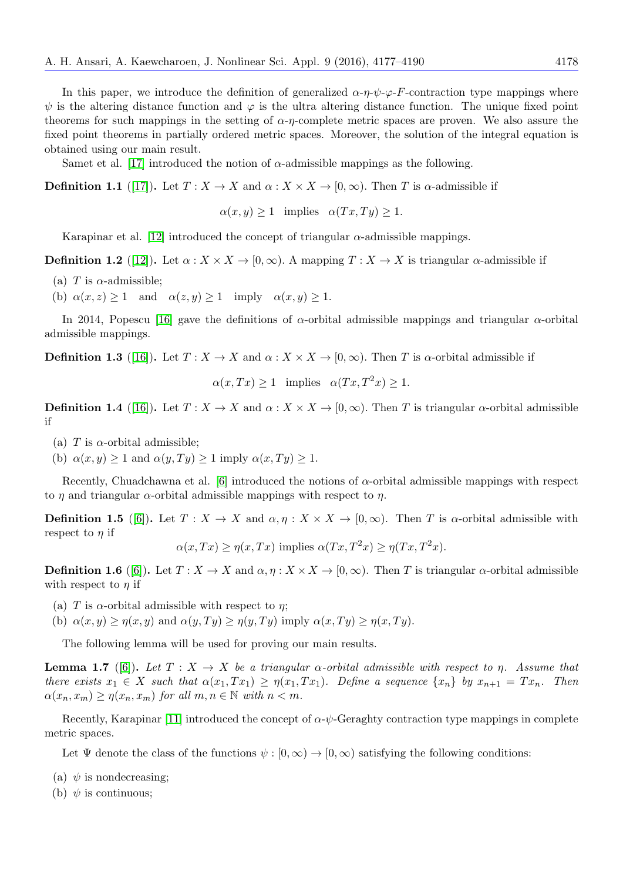In this paper, we introduce the definition of generalized  $\alpha \cdot \eta \cdot \psi \cdot \varphi \cdot F$ -contraction type mappings where  $\psi$  is the altering distance function and  $\varphi$  is the ultra altering distance function. The unique fixed point theorems for such mappings in the setting of  $\alpha$ -η-complete metric spaces are proven. We also assure the fixed point theorems in partially ordered metric spaces. Moreover, the solution of the integral equation is obtained using our main result.

Samet et al. [\[17\]](#page-13-5) introduced the notion of  $\alpha$ -admissible mappings as the following.

<span id="page-1-4"></span>**Definition 1.1** ([\[17\]](#page-13-5)). Let  $T : X \to X$  and  $\alpha : X \times X \to [0, \infty)$ . Then T is  $\alpha$ -admissible if

 $\alpha(x, y) > 1$  implies  $\alpha(Tx, Ty) > 1$ .

Karapinar et al. [\[12\]](#page-13-7) introduced the concept of triangular  $\alpha$ -admissible mappings.

<span id="page-1-5"></span>**Definition 1.2** ([\[12\]](#page-13-7)). Let  $\alpha: X \times X \to [0, \infty)$ . A mapping  $T: X \to X$  is triangular  $\alpha$ -admissible if

- (a) T is  $\alpha$ -admissible;
- (b)  $\alpha(x, z) \ge 1$  and  $\alpha(z, y) \ge 1$  imply  $\alpha(x, y) \ge 1$ .

In 2014, Popescu [\[16\]](#page-13-8) gave the definitions of  $\alpha$ -orbital admissible mappings and triangular  $\alpha$ -orbital admissible mappings.

<span id="page-1-6"></span>**Definition 1.3** ([\[16\]](#page-13-8)). Let  $T : X \to X$  and  $\alpha : X \times X \to [0, \infty)$ . Then T is  $\alpha$ -orbital admissible if

 $\alpha(x, Tx) \geq 1$  implies  $\alpha(Tx, T^2x) \geq 1$ .

<span id="page-1-1"></span>**Definition 1.4** ([\[16\]](#page-13-8)). Let  $T : X \to X$  and  $\alpha : X \times X \to [0, \infty)$ . Then T is triangular  $\alpha$ -orbital admissible if

- (a) T is  $\alpha$ -orbital admissible;
- (b)  $\alpha(x, y) \ge 1$  and  $\alpha(y, Ty) \ge 1$  imply  $\alpha(x, Ty) \ge 1$ .

Recently, Chuadchawna et al. [\[6\]](#page-13-9) introduced the notions of  $\alpha$ -orbital admissible mappings with respect to  $\eta$  and triangular  $\alpha$ -orbital admissible mappings with respect to  $\eta$ .

<span id="page-1-2"></span>**Definition 1.5** ([\[6\]](#page-13-9)). Let  $T : X \to X$  and  $\alpha, \eta : X \times X \to [0, \infty)$ . Then T is  $\alpha$ -orbital admissible with respect to  $\eta$  if

$$
\alpha(x,Tx) \geq \eta(x,Tx)
$$
 implies  $\alpha(Tx,T^2x) \geq \eta(Tx,T^2x)$ .

<span id="page-1-3"></span>**Definition 1.6** ([\[6\]](#page-13-9)). Let  $T : X \to X$  and  $\alpha, \eta : X \times X \to [0, \infty)$ . Then T is triangular  $\alpha$ -orbital admissible with respect to  $\eta$  if

- (a) T is  $\alpha$ -orbital admissible with respect to  $\eta$ ;
- (b)  $\alpha(x, y) \geq \eta(x, y)$  and  $\alpha(y, Ty) \geq \eta(y, Ty)$  imply  $\alpha(x, Ty) \geq \eta(x, Ty)$ .

The following lemma will be used for proving our main results.

<span id="page-1-0"></span>**Lemma 1.7** ([\[6\]](#page-13-9)). Let  $T : X \to X$  be a triangular  $\alpha$ -orbital admissible with respect to  $\eta$ . Assume that there exists  $x_1 \in X$  such that  $\alpha(x_1, Tx_1) \geq \eta(x_1, Tx_1)$ . Define a sequence  $\{x_n\}$  by  $x_{n+1} = Tx_n$ . Then  $\alpha(x_n, x_m) \geq \eta(x_n, x_m)$  for all  $m, n \in \mathbb{N}$  with  $n < m$ .

Recently, Karapinar [\[11\]](#page-13-10) introduced the concept of  $\alpha$ - $\psi$ -Geraghty contraction type mappings in complete metric spaces.

Let  $\Psi$  denote the class of the functions  $\psi : [0, \infty) \to [0, \infty)$  satisfying the following conditions:

(a)  $\psi$  is nondecreasing;

(b)  $\psi$  is continuous: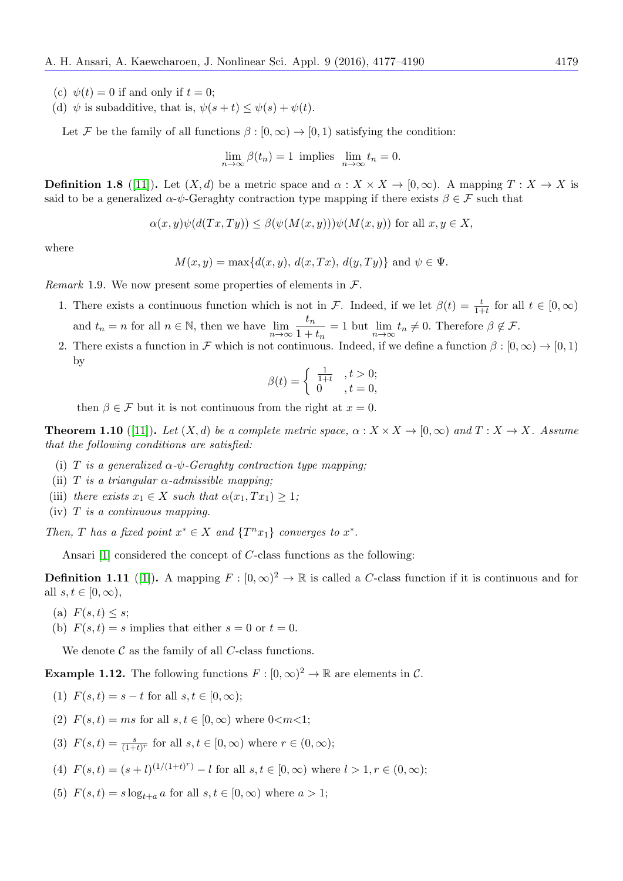- (c)  $\psi(t) = 0$  if and only if  $t = 0$ ;
- (d)  $\psi$  is subadditive, that is,  $\psi(s+t) \leq \psi(s) + \psi(t)$ .

Let F be the family of all functions  $\beta : [0, \infty) \to [0, 1)$  satisfying the condition:

$$
\lim_{n \to \infty} \beta(t_n) = 1
$$
 implies  $\lim_{n \to \infty} t_n = 0$ .

<span id="page-2-3"></span>**Definition 1.8** ([\[11\]](#page-13-10)). Let  $(X, d)$  be a metric space and  $\alpha : X \times X \to [0, \infty)$ . A mapping  $T : X \to X$  is said to be a generalized  $\alpha$ -ψ-Geraghty contraction type mapping if there exists  $\beta \in \mathcal{F}$  such that

$$
\alpha(x, y)\psi(d(Tx, Ty)) \le \beta(\psi(M(x, y)))\psi(M(x, y)) \text{ for all } x, y \in X
$$

where

$$
M(x,y) = \max\{d(x,y), d(x,Tx), d(y,Ty)\} \text{ and } \psi \in \Psi.
$$

Remark 1.9. We now present some properties of elements in  $\mathcal{F}$ .

- 1. There exists a continuous function which is not in F. Indeed, if we let  $\beta(t) = \frac{t}{1+t}$  for all  $t \in [0,\infty)$ and  $t_n = n$  for all  $n \in \mathbb{N}$ , then we have  $\lim_{n \to \infty} \frac{t_n}{1 + \dots}$  $\frac{c_n}{1+t_n} = 1$  but  $\lim_{n \to \infty} t_n \neq 0$ . Therefore  $\beta \notin \mathcal{F}$ .
- 2. There exists a function in F which is not continuous. Indeed, if we define a function  $\beta : [0, \infty) \to [0, 1)$ by

$$
\beta(t) = \begin{cases} \frac{1}{1+t} & t > 0; \\ 0 & t = 0, \end{cases}
$$

then  $\beta \in \mathcal{F}$  but it is not continuous from the right at  $x = 0$ .

<span id="page-2-1"></span>**Theorem 1.10** ([\[11\]](#page-13-10)). Let  $(X,d)$  be a complete metric space,  $\alpha: X \times X \to [0,\infty)$  and  $T: X \to X$ . Assume that the following conditions are satisfied:

- (i) T is a generalized  $\alpha$ - $\psi$ -Geraghty contraction type mapping;
- (ii) T is a triangular  $\alpha$ -admissible mapping;
- (iii) there exists  $x_1 \in X$  such that  $\alpha(x_1, Tx_1) \geq 1$ ;
- $(iv)$  T is a continuous mapping.

Then, T has a fixed point  $x^* \in X$  and  $\{T^n x_1\}$  converges to  $x^*$ .

Ansari [\[1\]](#page-13-6) considered the concept of C-class functions as the following:

<span id="page-2-2"></span>**Definition 1.11** ([\[1\]](#page-13-6)). A mapping  $F : [0, \infty)^2 \to \mathbb{R}$  is called a C-class function if it is continuous and for all  $s, t \in [0, \infty)$ ,

- (a)  $F(s,t) \leq s$ ;
- (b)  $F(s,t) = s$  implies that either  $s = 0$  or  $t = 0$ .

We denote  $\mathcal C$  as the family of all C-class functions.

<span id="page-2-0"></span>**Example 1.12.** The following functions  $F : [0, \infty)^2 \to \mathbb{R}$  are elements in C.

- (1)  $F(s,t) = s t$  for all  $s, t \in [0, \infty)$ ;
- (2)  $F(s,t) = ms$  for all  $s, t \in [0,\infty)$  where  $0 \le m \le 1$ ;
- (3)  $F(s,t) = \frac{s}{(1+t)^r}$  for all  $s, t \in [0, \infty)$  where  $r \in (0, \infty)$ ;
- (4)  $F(s,t) = (s+l)^{(1/(1+t)^r)} l$  for all  $s,t \in [0,\infty)$  where  $l > 1, r \in (0,\infty)$ ;
- (5)  $F(s,t) = s \log_{t+a} a$  for all  $s,t \in [0,\infty)$  where  $a > 1$ ;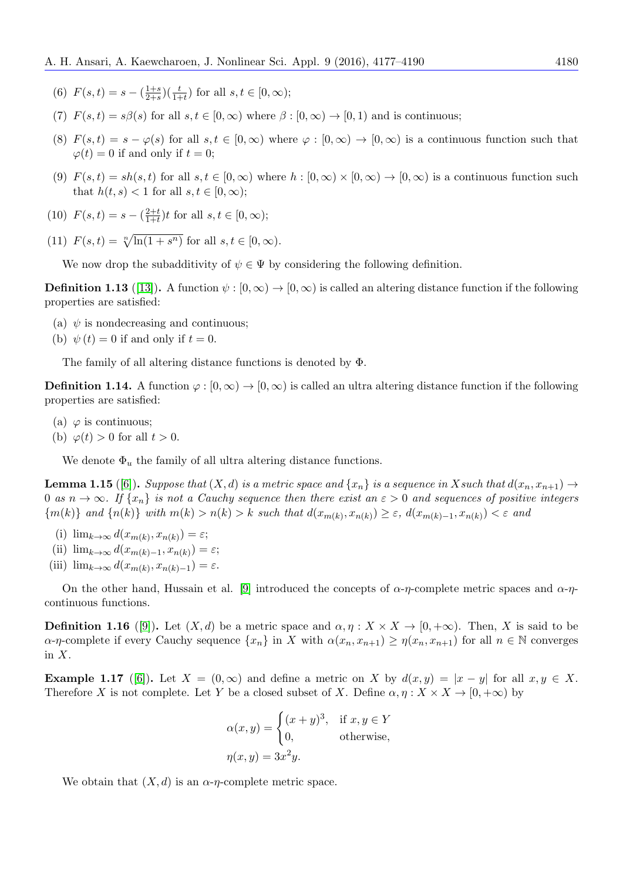- (6)  $F(s,t) = s (\frac{1+s}{2+s})$  $\frac{1+s}{2+s}$  $\left(\frac{t}{1+t}\right)$  for all  $s, t \in [0, \infty);$
- (7)  $F(s,t) = s\beta(s)$  for all  $s,t \in [0,\infty)$  where  $\beta : [0,\infty) \to [0,1)$  and is continuous;
- (8)  $F(s,t) = s \varphi(s)$  for all  $s,t \in [0,\infty)$  where  $\varphi : [0,\infty) \to [0,\infty)$  is a continuous function such that  $\varphi(t) = 0$  if and only if  $t = 0$ ;
- (9)  $F(s,t) = sh(s,t)$  for all  $s,t \in [0,\infty)$  where  $h : [0,\infty) \times [0,\infty) \to [0,\infty)$  is a continuous function such that  $h(t, s) < 1$  for all  $s, t \in [0, \infty);$
- (10)  $F(s,t) = s \left(\frac{2+t}{1+t}\right)$  $\frac{2+t}{1+t}$ )t for all  $s, t \in [0, \infty)$ ;
- (11)  $F(s,t) = \sqrt[n]{\ln(1+s^n)}$  for all  $s, t \in [0,\infty)$ .

We now drop the subadditivity of  $\psi \in \Psi$  by considering the following definition.

<span id="page-3-3"></span>**Definition 1.13** ([\[13\]](#page-13-11)). A function  $\psi : [0, \infty) \to [0, \infty)$  is called an altering distance function if the following properties are satisfied:

- (a)  $\psi$  is nondecreasing and continuous;
- (b)  $\psi(t) = 0$  if and only if  $t = 0$ .

The family of all altering distance functions is denoted by Φ.

**Definition 1.14.** A function  $\varphi : [0, \infty) \to [0, \infty)$  is called an ultra altering distance function if the following properties are satisfied:

- (a)  $\varphi$  is continuous;
- (b)  $\varphi(t) > 0$  for all  $t > 0$ .

We denote  $\Phi_u$  the family of all ultra altering distance functions.

<span id="page-3-0"></span>**Lemma 1.15** ([\[6\]](#page-13-9)). Suppose that  $(X, d)$  is a metric space and  $\{x_n\}$  is a sequence in X such that  $d(x_n, x_{n+1}) \rightarrow$ 0 as  $n \to \infty$ . If  $\{x_n\}$  is not a Cauchy sequence then there exist an  $\varepsilon > 0$  and sequences of positive integers  ${m(k)}$  and  ${n(k)}$  with  $m(k) > n(k) > k$  such that  $d(x_{m(k)}, x_{n(k)}) \geq \varepsilon$ ,  $d(x_{m(k)-1}, x_{n(k)}) < \varepsilon$  and

- (i)  $\lim_{k \to \infty} d(x_{m(k)}, x_{n(k)}) = \varepsilon;$
- (ii)  $\lim_{k \to \infty} d(x_{m(k)-1}, x_{n(k)}) = \varepsilon;$
- (iii)  $\lim_{k \to \infty} d(x_{m(k)}, x_{n(k)-1}) = \varepsilon.$

On the other hand, Hussain et al. [\[9\]](#page-13-12) introduced the concepts of  $\alpha$ -η-complete metric spaces and  $\alpha$ -ηcontinuous functions.

<span id="page-3-2"></span>**Definition 1.16** ([\[9\]](#page-13-12)). Let  $(X, d)$  be a metric space and  $\alpha, \eta : X \times X \to [0, +\infty)$ . Then, X is said to be  $\alpha$ -η-complete if every Cauchy sequence  $\{x_n\}$  in X with  $\alpha(x_n, x_{n+1}) \geq \eta(x_n, x_{n+1})$  for all  $n \in \mathbb{N}$  converges in  $X$ .

<span id="page-3-1"></span>**Example 1.17** ([\[6\]](#page-13-9)). Let  $X = (0, \infty)$  and define a metric on X by  $d(x, y) = |x - y|$  for all  $x, y \in X$ . Therefore X is not complete. Let Y be a closed subset of X. Define  $\alpha, \eta : X \times X \to [0, +\infty)$  by

$$
\alpha(x, y) = \begin{cases} (x + y)^3, & \text{if } x, y \in Y \\ 0, & \text{otherwise,} \end{cases}
$$

$$
\eta(x, y) = 3x^2y.
$$

We obtain that  $(X, d)$  is an  $\alpha$ -η-complete metric space.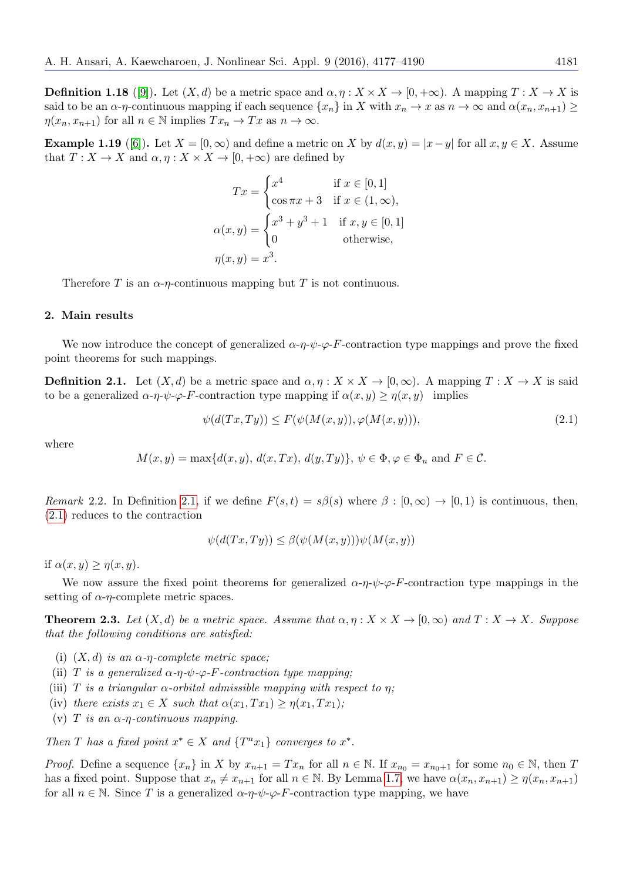<span id="page-4-4"></span>**Definition 1.18** ([\[9\]](#page-13-12)). Let  $(X, d)$  be a metric space and  $\alpha, \eta : X \times X \to [0, +\infty)$ . A mapping  $T : X \to X$  is said to be an  $\alpha$ -η-continuous mapping if each sequence  $\{x_n\}$  in X with  $x_n \to x$  as  $n \to \infty$  and  $\alpha(x_n, x_{n+1}) \ge$  $\eta(x_n, x_{n+1})$  for all  $n \in \mathbb{N}$  implies  $Tx_n \to Tx$  as  $n \to \infty$ .

<span id="page-4-3"></span>**Example 1.19** ([\[6\]](#page-13-9)). Let  $X = [0, \infty)$  and define a metric on X by  $d(x, y) = |x - y|$  for all  $x, y \in X$ . Assume that  $T: X \to X$  and  $\alpha, \eta: X \times X \to [0, +\infty)$  are defined by

$$
Tx = \begin{cases} x^4 & \text{if } x \in [0, 1] \\ \cos \pi x + 3 & \text{if } x \in (1, \infty), \end{cases}
$$

$$
\alpha(x, y) = \begin{cases} x^3 + y^3 + 1 & \text{if } x, y \in [0, 1] \\ 0 & \text{otherwise}, \end{cases}
$$

$$
\eta(x, y) = x^3.
$$

Therefore T is an  $\alpha$ - $\eta$ -continuous mapping but T is not continuous.

### 2. Main results

We now introduce the concept of generalized  $\alpha \cdot \eta \cdot \psi \cdot \varphi$ -F-contraction type mappings and prove the fixed point theorems for such mappings.

<span id="page-4-0"></span>**Definition 2.1.** Let  $(X, d)$  be a metric space and  $\alpha, \eta: X \times X \to [0, \infty)$ . A mapping  $T: X \to X$  is said to be a generalized  $\alpha \cdot \eta \cdot \psi \cdot \varphi$ -F-contraction type mapping if  $\alpha(x, y) \geq \eta(x, y)$  implies

<span id="page-4-1"></span>
$$
\psi(d(Tx, Ty)) \le F(\psi(M(x, y)), \varphi(M(x, y))), \tag{2.1}
$$

where

 $M(x, y) = \max\{d(x, y), d(x, Tx), d(y, Ty)\}, \psi \in \Phi, \varphi \in \Phi_u \text{ and } F \in \mathcal{C}.$ 

Remark 2.2. In Definition [2.1,](#page-4-0) if we define  $F(s,t) = s\beta(s)$  where  $\beta : [0,\infty) \to [0,1)$  is continuous, then, [\(2.1\)](#page-4-1) reduces to the contraction

$$
\psi(d(Tx, Ty)) \le \beta(\psi(M(x, y)))\psi(M(x, y))
$$

if  $\alpha(x, y) \geq \eta(x, y)$ .

We now assure the fixed point theorems for generalized  $\alpha \eta \psi \varphi - F$ -contraction type mappings in the setting of  $\alpha$ -*η*-complete metric spaces.

<span id="page-4-2"></span>**Theorem 2.3.** Let  $(X, d)$  be a metric space. Assume that  $\alpha, \eta : X \times X \to [0, \infty)$  and  $T : X \to X$ . Suppose that the following conditions are satisfied:

- (i)  $(X, d)$  is an  $\alpha$ -*η*-complete metric space;
- (ii) T is a generalized  $\alpha$ -η-ψ- $\varphi$ -F-contraction type mapping;
- (iii) T is a triangular  $\alpha$ -orbital admissible mapping with respect to  $\eta$ ;
- (iv) there exists  $x_1 \in X$  such that  $\alpha(x_1, Tx_1) \geq \eta(x_1, Tx_1)$ ;
- (v) T is an  $\alpha$ - $\eta$ -continuous mapping.

Then T has a fixed point  $x^* \in X$  and  $\{T^n x_1\}$  converges to  $x^*$ .

*Proof.* Define a sequence  $\{x_n\}$  in X by  $x_{n+1} = Tx_n$  for all  $n \in \mathbb{N}$ . If  $x_{n_0} = x_{n_0+1}$  for some  $n_0 \in \mathbb{N}$ , then T has a fixed point. Suppose that  $x_n \neq x_{n+1}$  for all  $n \in \mathbb{N}$ . By Lemma [1.7,](#page-1-0) we have  $\alpha(x_n, x_{n+1}) \geq \eta(x_n, x_{n+1})$ for all  $n \in \mathbb{N}$ . Since T is a generalized  $\alpha \neg \neg \psi \neg \varphi \neg F$ -contraction type mapping, we have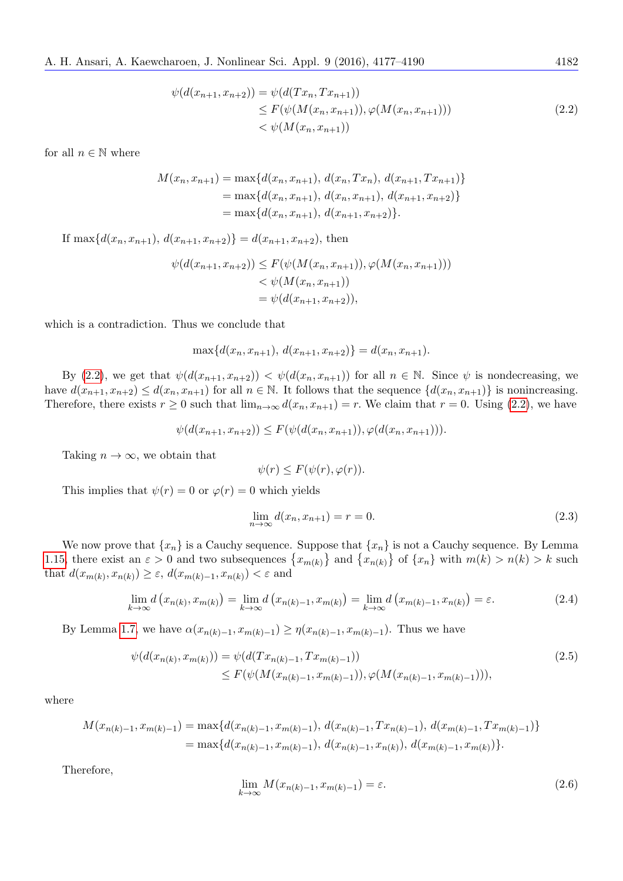<span id="page-5-0"></span>
$$
\psi(d(x_{n+1}, x_{n+2})) = \psi(d(Tx_n, Tx_{n+1}))
$$
  
\n
$$
\leq F(\psi(M(x_n, x_{n+1})), \varphi(M(x_n, x_{n+1})))
$$
  
\n
$$
< \psi(M(x_n, x_{n+1}))
$$
\n(2.2)

for all  $n \in \mathbb{N}$  where

$$
M(x_n, x_{n+1}) = \max\{d(x_n, x_{n+1}), d(x_n, Tx_n), d(x_{n+1}, Tx_{n+1})\}
$$
  
=  $\max\{d(x_n, x_{n+1}), d(x_n, x_{n+1}), d(x_{n+1}, x_{n+2})\}$   
=  $\max\{d(x_n, x_{n+1}), d(x_{n+1}, x_{n+2})\}.$ 

If max $\{d(x_n, x_{n+1}), d(x_{n+1}, x_{n+2})\} = d(x_{n+1}, x_{n+2}),$  then

$$
\psi(d(x_{n+1}, x_{n+2})) \le F(\psi(M(x_n, x_{n+1})), \varphi(M(x_n, x_{n+1}))) \n< \psi(M(x_n, x_{n+1})) \n= \psi(d(x_{n+1}, x_{n+2})),
$$

which is a contradiction. Thus we conclude that

$$
\max\{d(x_n, x_{n+1}), d(x_{n+1}, x_{n+2})\} = d(x_n, x_{n+1}).
$$

By [\(2.2\)](#page-5-0), we get that  $\psi(d(x_{n+1}, x_{n+2})) < \psi(d(x_n, x_{n+1}))$  for all  $n \in \mathbb{N}$ . Since  $\psi$  is nondecreasing, we have  $d(x_{n+1}, x_{n+2}) \leq d(x_n, x_{n+1})$  for all  $n \in \mathbb{N}$ . It follows that the sequence  $\{d(x_n, x_{n+1})\}$  is nonincreasing. Therefore, there exists  $r \ge 0$  such that  $\lim_{n\to\infty} d(x_n, x_{n+1}) = r$ . We claim that  $r = 0$ . Using [\(2.2\)](#page-5-0), we have

$$
\psi(d(x_{n+1}, x_{n+2})) \leq F(\psi(d(x_n, x_{n+1})), \varphi(d(x_n, x_{n+1}))).
$$

Taking  $n \to \infty$ , we obtain that

$$
\psi(r) \le F(\psi(r), \varphi(r)).
$$

This implies that  $\psi(r) = 0$  or  $\varphi(r) = 0$  which yields

<span id="page-5-1"></span>
$$
\lim_{n \to \infty} d(x_n, x_{n+1}) = r = 0.
$$
\n(2.3)

We now prove that  $\{x_n\}$  is a Cauchy sequence. Suppose that  $\{x_n\}$  is not a Cauchy sequence. By Lemma [1.15,](#page-3-0) there exist an  $\varepsilon > 0$  and two subsequences  $\{x_{m(k)}\}$  and  $\{x_{n(k)}\}$  of  $\{x_n\}$  with  $m(k) > n(k) > k$  such that  $d(x_{m(k)}, x_{n(k)}) \geq \varepsilon$ ,  $d(x_{m(k)-1}, x_{n(k)}) < \varepsilon$  and

$$
\lim_{k \to \infty} d\left(x_{n(k)}, x_{m(k)}\right) = \lim_{k \to \infty} d\left(x_{n(k)-1}, x_{m(k)}\right) = \lim_{k \to \infty} d\left(x_{m(k)-1}, x_{n(k)}\right) = \varepsilon. \tag{2.4}
$$

By Lemma [1.7,](#page-1-0) we have  $\alpha(x_{n(k)-1}, x_{m(k)-1}) \ge \eta(x_{n(k)-1}, x_{m(k)-1})$ . Thus we have

$$
\psi(d(x_{n(k)}, x_{m(k)})) = \psi(d(Tx_{n(k)-1}, Tx_{m(k)-1}))
$$
\n
$$
\leq F(\psi(M(x_{n(k)-1}, x_{m(k)-1})), \varphi(M(x_{n(k)-1}, x_{m(k)-1}))),
$$
\n(2.5)

where

$$
M(x_{n(k)-1}, x_{m(k)-1}) = \max\{d(x_{n(k)-1}, x_{m(k)-1}), d(x_{n(k)-1}, Tx_{n(k)-1}), d(x_{m(k)-1}, Tx_{m(k)-1})\}
$$
  
= 
$$
\max\{d(x_{n(k)-1}, x_{m(k)-1}), d(x_{n(k)-1}, x_{n(k)}), d(x_{m(k)-1}, x_{m(k)})\}.
$$

Therefore,

<span id="page-5-2"></span>
$$
\lim_{k \to \infty} M(x_{n(k)-1}, x_{m(k)-1}) = \varepsilon. \tag{2.6}
$$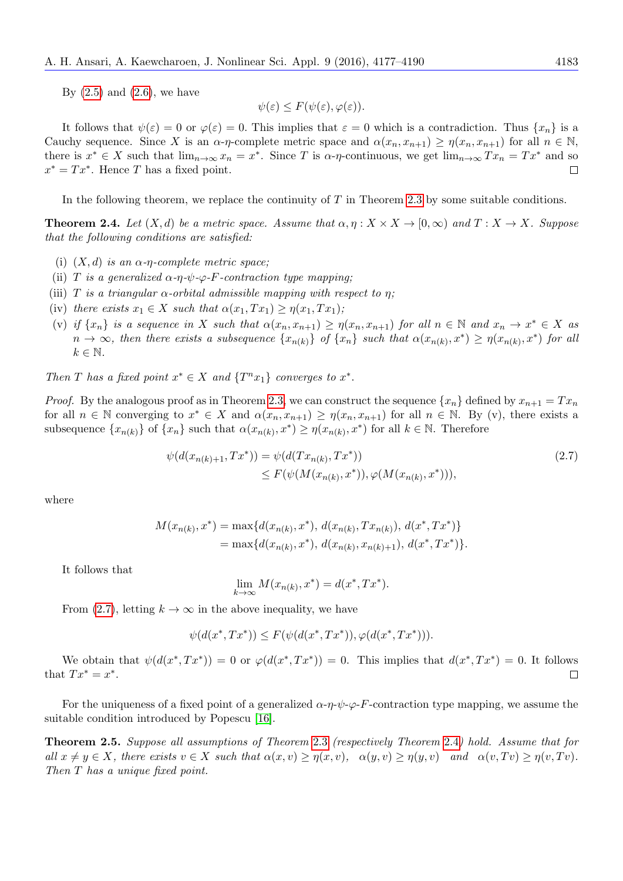By  $(2.5)$  and  $(2.6)$ , we have

<span id="page-6-0"></span>
$$
\psi(\varepsilon) \le F(\psi(\varepsilon), \varphi(\varepsilon)).
$$

It follows that  $\psi(\varepsilon) = 0$  or  $\varphi(\varepsilon) = 0$ . This implies that  $\varepsilon = 0$  which is a contradiction. Thus  $\{x_n\}$  is a Cauchy sequence. Since X is an  $\alpha$ -η-complete metric space and  $\alpha(x_n, x_{n+1}) \geq \eta(x_n, x_{n+1})$  for all  $n \in \mathbb{N}$ , there is  $x^* \in X$  such that  $\lim_{n\to\infty} x_n = x^*$ . Since T is  $\alpha$ - $\eta$ -continuous, we get  $\lim_{n\to\infty} Tx_n = Tx^*$  and so  $x^* = Tx^*$ . Hence T has a fixed point.  $\Box$ 

In the following theorem, we replace the continuity of  $T$  in Theorem [2.3](#page-4-2) by some suitable conditions.

<span id="page-6-1"></span>**Theorem 2.4.** Let  $(X, d)$  be a metric space. Assume that  $\alpha, \eta : X \times X \to [0, \infty)$  and  $T : X \to X$ . Suppose that the following conditions are satisfied:

- (i)  $(X, d)$  is an  $\alpha$ -η-complete metric space;
- (ii) T is a generalized  $\alpha$ -η- $\psi$ - $\varphi$ -F-contraction type mapping;
- (iii) T is a triangular  $\alpha$ -orbital admissible mapping with respect to n:
- (iv) there exists  $x_1 \in X$  such that  $\alpha(x_1, Tx_1) \geq \eta(x_1, Tx_1)$ ;
- (v) if  $\{x_n\}$  is a sequence in X such that  $\alpha(x_n, x_{n+1}) \geq \eta(x_n, x_{n+1})$  for all  $n \in \mathbb{N}$  and  $x_n \to x^* \in X$  as  $n \to \infty$ , then there exists a subsequence  $\{x_{n(k)}\}$  of  $\{x_n\}$  such that  $\alpha(x_{n(k)}, x^*) \geq \eta(x_{n(k)}, x^*)$  for all  $k \in \mathbb{N}$ .

Then T has a fixed point  $x^* \in X$  and  $\{T^n x_1\}$  converges to  $x^*$ .

*Proof.* By the analogous proof as in Theorem [2.3,](#page-4-2) we can construct the sequence  $\{x_n\}$  defined by  $x_{n+1} = Tx_n$ for all  $n \in \mathbb{N}$  converging to  $x^* \in X$  and  $\alpha(x_n, x_{n+1}) \geq \eta(x_n, x_{n+1})$  for all  $n \in \mathbb{N}$ . By (v), there exists a subsequence  $\{x_{n(k)}\}$  of  $\{x_n\}$  such that  $\alpha(x_{n(k)}, x^*) \geq \eta(x_{n(k)}, x^*)$  for all  $k \in \mathbb{N}$ . Therefore

$$
\psi(d(x_{n(k)+1}, Tx^*)) = \psi(d(Tx_{n(k)}, Tx^*))
$$
  
\n
$$
\leq F(\psi(M(x_{n(k)}, x^*)), \varphi(M(x_{n(k)}, x^*))),
$$
\n(2.7)

where

$$
M(x_{n(k)}, x^*) = \max\{d(x_{n(k)}, x^*), d(x_{n(k)}, Tx_{n(k)}), d(x^*, Tx^*)\}
$$
  
= 
$$
\max\{d(x_{n(k)}, x^*), d(x_{n(k)}, x_{n(k)+1}), d(x^*, Tx^*)\}.
$$

It follows that

$$
\lim_{k \to \infty} M(x_{n(k)}, x^*) = d(x^*, Tx^*).
$$

From [\(2.7\)](#page-6-0), letting  $k \to \infty$  in the above inequality, we have

<span id="page-6-2"></span>
$$
\psi(d(x^*, Tx^*)) \le F(\psi(d(x^*, Tx^*)), \varphi(d(x^*, Tx^*))).
$$

We obtain that  $\psi(d(x^*,Tx^*))=0$  or  $\varphi(d(x^*,Tx^*))=0$ . This implies that  $d(x^*,Tx^*)=0$ . It follows that  $Tx^* = x^*$ .  $\Box$ 

For the uniqueness of a fixed point of a generalized  $\alpha-\eta-\psi-\varphi-F$ -contraction type mapping, we assume the suitable condition introduced by Popescu [\[16\]](#page-13-8).

Theorem 2.5. Suppose all assumptions of Theorem [2.3](#page-4-2) (respectively Theorem [2.4](#page-6-1)) hold. Assume that for all  $x \neq y \in X$ , there exists  $v \in X$  such that  $\alpha(x, v) \geq \eta(x, v)$ ,  $\alpha(y, v) \geq \eta(y, v)$  and  $\alpha(v, Tv) \geq \eta(v, Tv)$ . Then T has a unique fixed point.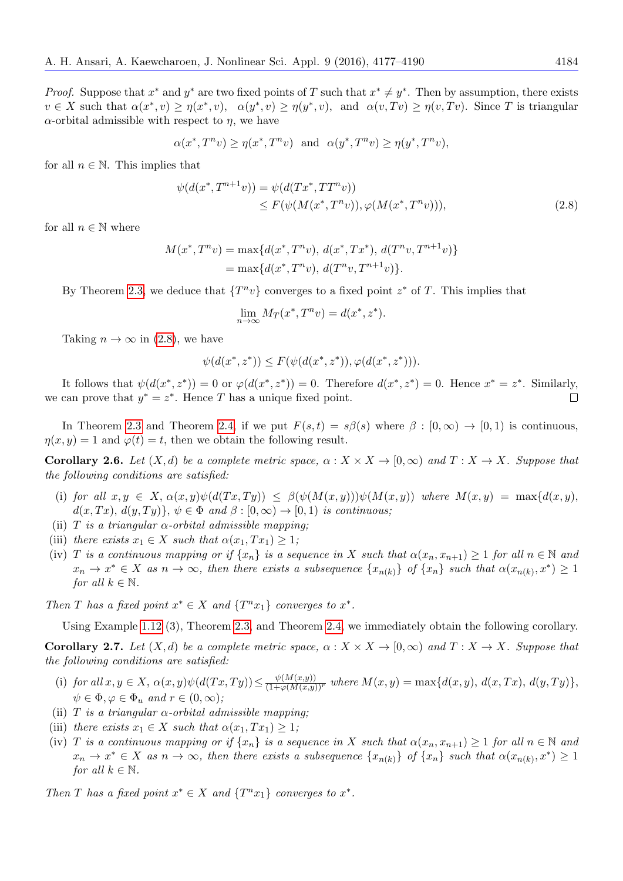$$
\alpha(x^*,T^nv) \ge \eta(x^*,T^nv) \text{ and } \alpha(y^*,T^nv) \ge \eta(y^*,T^nv),
$$

for all  $n \in \mathbb{N}$ . This implies that

$$
\psi(d(x^*, T^{n+1}v)) = \psi(d(Tx^*, TT^nv)) \leq F(\psi(M(x^*, T^nv)), \varphi(M(x^*, T^nv))),
$$
\n(2.8)

for all  $n \in \mathbb{N}$  where

$$
M(x^*, T^n v) = \max\{d(x^*, T^n v), d(x^*, Tx^*), d(T^n v, T^{n+1} v)\}
$$
  
= 
$$
\max\{d(x^*, T^n v), d(T^n v, T^{n+1} v)\}.
$$

By Theorem [2.3,](#page-4-2) we deduce that  $\{T^n v\}$  converges to a fixed point  $z^*$  of T. This implies that

$$
\lim_{n \to \infty} M_T(x^*, T^n v) = d(x^*, z^*).
$$

Taking  $n \to \infty$  in [\(2.8\)](#page-6-2), we have

$$
\psi(d(x^*, z^*)) \le F(\psi(d(x^*, z^*)), \varphi(d(x^*, z^*))).
$$

It follows that  $\psi(d(x^*,z^*))=0$  or  $\varphi(d(x^*,z^*))=0$ . Therefore  $d(x^*,z^*)=0$ . Hence  $x^*=z^*$ . Similarly, we can prove that  $y^* = z^*$ . Hence T has a unique fixed point.  $\Box$ 

In Theorem [2.3](#page-4-2) and Theorem [2.4,](#page-6-1) if we put  $F(s,t) = s\beta(s)$  where  $\beta : [0,\infty) \to [0,1)$  is continuous,  $\eta(x, y) = 1$  and  $\varphi(t) = t$ , then we obtain the following result.

**Corollary 2.6.** Let  $(X,d)$  be a complete metric space,  $\alpha: X \times X \to [0,\infty)$  and  $T: X \to X$ . Suppose that the following conditions are satisfied:

- (i) for all  $x, y \in X$ ,  $\alpha(x, y)\psi(d(Tx, Ty)) \leq \beta(\psi(M(x, y)))\psi(M(x, y))$  where  $M(x, y) = \max\{d(x, y), d(x, y)\}$  $d(x, Tx), d(y, Ty)$ ,  $\psi \in \Phi$  and  $\beta : [0, \infty) \to [0, 1)$  is continuous;
- (ii) T is a triangular  $\alpha$ -orbital admissible mapping;
- (iii) there exists  $x_1 \in X$  such that  $\alpha(x_1, Tx_1) \geq 1$ ;
- (iv) T is a continuous mapping or if  $\{x_n\}$  is a sequence in X such that  $\alpha(x_n, x_{n+1}) \geq 1$  for all  $n \in \mathbb{N}$  and  $x_n \to x^* \in X$  as  $n \to \infty$ , then there exists a subsequence  $\{x_{n(k)}\}$  of  $\{x_n\}$  such that  $\alpha(x_{n(k)}, x^*) \geq 1$ for all  $k \in \mathbb{N}$ .

Then T has a fixed point  $x^* \in X$  and  $\{T^n x_1\}$  converges to  $x^*$ .

Using Example [1.12](#page-2-0) (3), Theorem [2.3,](#page-4-2) and Theorem [2.4,](#page-6-1) we immediately obtain the following corollary.

**Corollary 2.7.** Let  $(X, d)$  be a complete metric space,  $\alpha : X \times X \to [0, \infty)$  and  $T : X \to X$ . Suppose that the following conditions are satisfied:

- (i) for all  $x, y \in X$ ,  $\alpha(x, y)\psi(d(Tx, Ty)) \leq \frac{\psi(M(x,y))}{(1+\varphi(M(x,y))^r}$  where  $M(x, y) = \max\{d(x, y), d(x, Tx), d(y, Ty)\},$  $\psi \in \Phi$ ,  $\varphi \in \Phi_u$  and  $r \in (0, \infty)$ ;
- (ii) T is a triangular  $\alpha$ -orbital admissible mapping;
- (iii) there exists  $x_1 \in X$  such that  $\alpha(x_1, Tx_1) \geq 1$ ;
- (iv) T is a continuous mapping or if  $\{x_n\}$  is a sequence in X such that  $\alpha(x_n, x_{n+1}) \geq 1$  for all  $n \in \mathbb{N}$  and  $x_n \to x^* \in X$  as  $n \to \infty$ , then there exists a subsequence  $\{x_{n(k)}\}$  of  $\{x_n\}$  such that  $\alpha(x_{n(k)}, x^*) \geq 1$ for all  $k \in \mathbb{N}$ .

Then T has a fixed point  $x^* \in X$  and  $\{T^n x_1\}$  converges to  $x^*$ .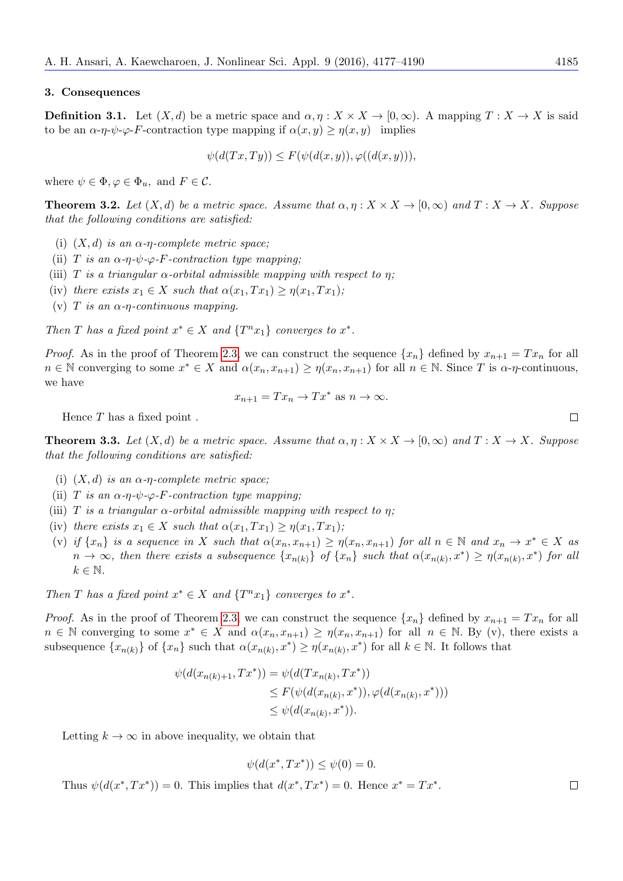#### 3. Consequences

**Definition 3.1.** Let  $(X, d)$  be a metric space and  $\alpha, \eta: X \times X \to [0, \infty)$ . A mapping  $T: X \to X$  is said to be an  $\alpha$ -η- $\psi$ - $\varphi$ -F-contraction type mapping if  $\alpha(x, y) \geq \eta(x, y)$  implies

$$
\psi(d(Tx,Ty)) \le F(\psi(d(x,y)), \varphi((d(x,y))),
$$

where  $\psi \in \Phi$ ,  $\varphi \in \Phi_u$ , and  $F \in \mathcal{C}$ .

<span id="page-8-0"></span>**Theorem 3.2.** Let  $(X, d)$  be a metric space. Assume that  $\alpha, \eta : X \times X \to [0, \infty)$  and  $T : X \to X$ . Suppose that the following conditions are satisfied:

- (i)  $(X, d)$  is an  $\alpha$ -η-complete metric space;
- (ii) T is an  $\alpha$ -η- $\psi$ - $\varphi$ -F-contraction type mapping;
- (iii) T is a triangular  $\alpha$ -orbital admissible mapping with respect to  $\eta$ ;
- (iv) there exists  $x_1 \in X$  such that  $\alpha(x_1, Tx_1) \geq \eta(x_1, Tx_1)$ ;
- (v) T is an  $\alpha$ - $\eta$ -continuous mapping.

Then T has a fixed point  $x^* \in X$  and  $\{T^n x_1\}$  converges to  $x^*$ .

*Proof.* As in the proof of Theorem [2.3,](#page-4-2) we can construct the sequence  $\{x_n\}$  defined by  $x_{n+1} = Tx_n$  for all  $n \in \mathbb{N}$  converging to some  $x^* \in X$  and  $\alpha(x_n, x_{n+1}) \geq \eta(x_n, x_{n+1})$  for all  $n \in \mathbb{N}$ . Since T is  $\alpha$ - $\eta$ -continuous, we have

$$
x_{n+1} = Tx_n \to Tx^* \text{ as } n \to \infty.
$$

Hence  $T$  has a fixed point.

<span id="page-8-1"></span>**Theorem 3.3.** Let  $(X, d)$  be a metric space. Assume that  $\alpha, \eta : X \times X \to [0, \infty)$  and  $T : X \to X$ . Suppose that the following conditions are satisfied:

- (i)  $(X, d)$  is an  $\alpha$ -η-complete metric space;
- (ii) T is an  $\alpha$ -η- $\psi$ - $\varphi$ -F-contraction type mapping;
- (iii) T is a triangular  $\alpha$ -orbital admissible mapping with respect to  $\eta$ ;
- (iv) there exists  $x_1 \in X$  such that  $\alpha(x_1, Tx_1) \geq \eta(x_1, Tx_1);$
- (v) if  $\{x_n\}$  is a sequence in X such that  $\alpha(x_n, x_{n+1}) \geq \eta(x_n, x_{n+1})$  for all  $n \in \mathbb{N}$  and  $x_n \to x^* \in X$  as  $n \to \infty$ , then there exists a subsequence  $\{x_{n(k)}\}$  of  $\{x_n\}$  such that  $\alpha(x_{n(k)}, x^*) \geq \eta(x_{n(k)}, x^*)$  for all  $k \in \mathbb{N}$ .

Then T has a fixed point  $x^* \in X$  and  $\{T^n x_1\}$  converges to  $x^*$ .

*Proof.* As in the proof of Theorem [2.3,](#page-4-2) we can construct the sequence  $\{x_n\}$  defined by  $x_{n+1} = Tx_n$  for all  $n \in \mathbb{N}$  converging to some  $x^* \in X$  and  $\alpha(x_n, x_{n+1}) \geq \eta(x_n, x_{n+1})$  for all  $n \in \mathbb{N}$ . By (v), there exists a subsequence  $\{x_{n(k)}\}$  of  $\{x_n\}$  such that  $\alpha(x_{n(k)}, x^*) \geq \eta(x_{n(k)}, x^*)$  for all  $k \in \mathbb{N}$ . It follows that

$$
\psi(d(x_{n(k)+1}, Tx^*)) = \psi(d(Tx_{n(k)}, Tx^*))
$$
  
\n
$$
\leq F(\psi(d(x_{n(k)}, x^*)), \varphi(d(x_{n(k)}, x^*)))
$$
  
\n
$$
\leq \psi(d(x_{n(k)}, x^*)).
$$

Letting  $k \to \infty$  in above inequality, we obtain that

<span id="page-8-2"></span>
$$
\psi(d(x^*,Tx^*)) \le \psi(0) = 0.
$$

Thus  $\psi(d(x^*,Tx^*))=0$ . This implies that  $d(x^*,Tx^*)=0$ . Hence  $x^*=Tx^*$ .

 $\Box$ 

 $\Box$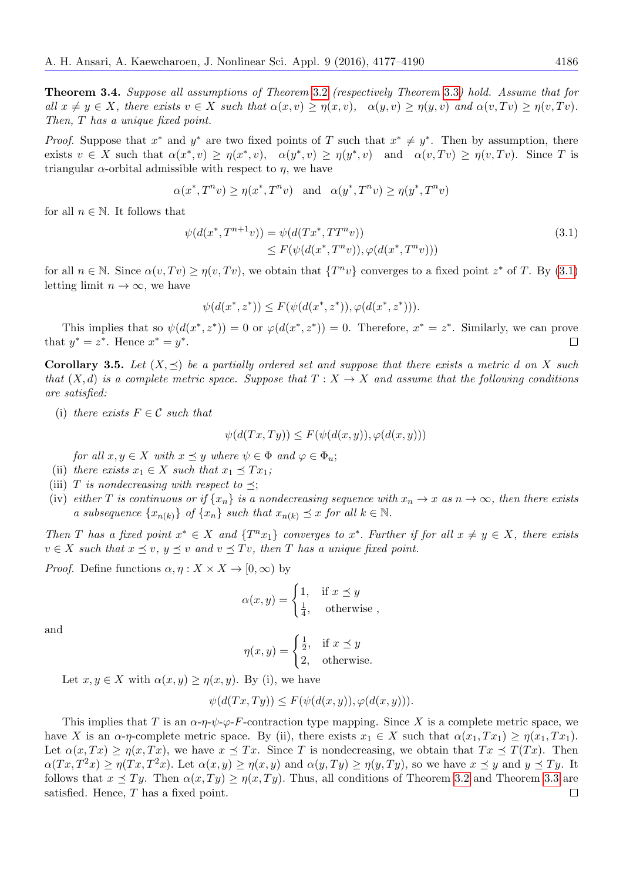Theorem 3.4. Suppose all assumptions of Theorem [3.2](#page-8-0) (respectively Theorem [3.3](#page-8-1)) hold. Assume that for all  $x \neq y \in X$ , there exists  $v \in X$  such that  $\alpha(x, v) \geq \eta(x, v)$ ,  $\alpha(y, v) \geq \eta(y, v)$  and  $\alpha(v, Tv) \geq \eta(v, Tv)$ . Then, T has a unique fixed point.

*Proof.* Suppose that  $x^*$  and  $y^*$  are two fixed points of T such that  $x^* \neq y^*$ . Then by assumption, there exists  $v \in X$  such that  $\alpha(x^*, v) \geq \eta(x^*, v)$ ,  $\alpha(y^*, v) \geq \eta(y^*, v)$  and  $\alpha(v, Tv) \geq \eta(v, Tv)$ . Since T is triangular  $\alpha$ -orbital admissible with respect to  $\eta$ , we have

$$
\alpha(x^*, T^n v) \ge \eta(x^*, T^n v) \quad \text{and} \quad \alpha(y^*, T^n v) \ge \eta(y^*, T^n v)
$$

for all  $n \in \mathbb{N}$ . It follows that

$$
\psi(d(x^*, T^{n+1}v)) = \psi(d(Tx^*, TT^nv)) \leq F(\psi(d(x^*, T^n v)), \varphi(d(x^*, T^n v)))
$$
\n(3.1)

for all  $n \in \mathbb{N}$ . Since  $\alpha(v, Tv) \ge \eta(v, Tv)$ , we obtain that  $\{T^n v\}$  converges to a fixed point  $z^*$  of T. By [\(3.1\)](#page-8-2) letting limit  $n \to \infty$ , we have

$$
\psi(d(x^*, z^*)) \le F(\psi(d(x^*, z^*)), \varphi(d(x^*, z^*))).
$$

This implies that so  $\psi(d(x^*,z^*))=0$  or  $\varphi(d(x^*,z^*))=0$ . Therefore,  $x^*=z^*$ . Similarly, we can prove that  $y^* = z^*$ . Hence  $x^* = y^*$ .  $\Box$ 

**Corollary 3.5.** Let  $(X, \leq)$  be a partially ordered set and suppose that there exists a metric d on X such that  $(X, d)$  is a complete metric space. Suppose that  $T : X \to X$  and assume that the following conditions are satisfied:

(i) there exists  $F \in \mathcal{C}$  such that

$$
\psi(d(Tx, Ty)) \le F(\psi(d(x, y)), \varphi(d(x, y)))
$$

for all  $x, y \in X$  with  $x \preceq y$  where  $\psi \in \Phi$  and  $\varphi \in \Phi_u$ ;

- (ii) there exists  $x_1 \in X$  such that  $x_1 \preceq Tx_1$ ;
- (iii) T is nondecreasing with respect to  $\preceq$ ;
- (iv) either T is continuous or if  $\{x_n\}$  is a nondecreasing sequence with  $x_n \to x$  as  $n \to \infty$ , then there exists a subsequence  $\{x_{n(k)}\}$  of  $\{x_n\}$  such that  $x_{n(k)} \preceq x$  for all  $k \in \mathbb{N}$ .

Then T has a fixed point  $x^* \in X$  and  $\{T^n x_1\}$  converges to  $x^*$ . Further if for all  $x \neq y \in X$ , there exists  $v \in X$  such that  $x \preceq v$ ,  $y \preceq v$  and  $v \preceq Tv$ , then T has a unique fixed point.

*Proof.* Define functions  $\alpha, \eta: X \times X \to [0, \infty)$  by

$$
\alpha(x, y) = \begin{cases} 1, & \text{if } x \le y \\ \frac{1}{4}, & \text{otherwise} \end{cases}
$$

and

$$
\eta(x, y) = \begin{cases} \frac{1}{2}, & \text{if } x \le y \\ 2, & \text{otherwise.} \end{cases}
$$

Let  $x, y \in X$  with  $\alpha(x, y) \geq \eta(x, y)$ . By (i), we have

$$
\psi(d(Tx,Ty)) \le F(\psi(d(x,y)), \varphi(d(x,y))).
$$

This implies that T is an  $\alpha \cdot \eta \cdot \psi \cdot \varphi \cdot F$ -contraction type mapping. Since X is a complete metric space, we have X is an  $\alpha$ -η-complete metric space. By (ii), there exists  $x_1 \in X$  such that  $\alpha(x_1, Tx_1) \geq \eta(x_1, Tx_1)$ . Let  $\alpha(x,Tx) \geq \eta(x,Tx)$ , we have  $x \preceq Tx$ . Since T is nondecreasing, we obtain that  $Tx \preceq T(Tx)$ . Then  $\alpha(Tx, T^2x) \geq \eta(Tx, T^2x)$ . Let  $\alpha(x, y) \geq \eta(x, y)$  and  $\alpha(y, Ty) \geq \eta(y, Ty)$ , so we have  $x \preceq y$  and  $y \preceq Ty$ . It follows that  $x \preceq Ty$ . Then  $\alpha(x, Ty) \geq \eta(x, Ty)$ . Thus, all conditions of Theorem [3.2](#page-8-0) and Theorem [3.3](#page-8-1) are satisfied. Hence, T has a fixed point. $\Box$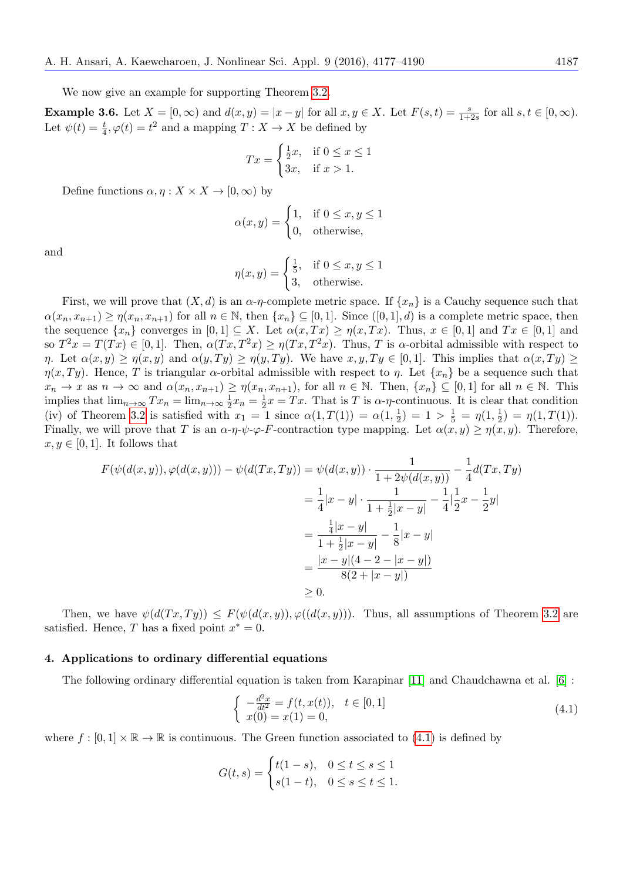We now give an example for supporting Theorem [3.2.](#page-8-0)

**Example 3.6.** Let  $X = [0, \infty)$  and  $d(x, y) = |x - y|$  for all  $x, y \in X$ . Let  $F(s, t) = \frac{s}{1+2s}$  for all  $s, t \in [0, \infty)$ . Let  $\psi(t) = \frac{t}{4}, \varphi(t) = t^2$  and a mapping  $T : X \to X$  be defined by

$$
Tx = \begin{cases} \frac{1}{2}x, & \text{if } 0 \le x \le 1\\ 3x, & \text{if } x > 1. \end{cases}
$$

Define functions  $\alpha, \eta: X \times X \to [0, \infty)$  by

$$
\alpha(x, y) = \begin{cases} 1, & \text{if } 0 \le x, y \le 1 \\ 0, & \text{otherwise,} \end{cases}
$$

and

$$
\eta(x, y) = \begin{cases} \frac{1}{5}, & \text{if } 0 \le x, y \le 1 \\ 3, & \text{otherwise.} \end{cases}
$$

First, we will prove that  $(X, d)$  is an  $\alpha$ -η-complete metric space. If  $\{x_n\}$  is a Cauchy sequence such that  $\alpha(x_n, x_{n+1}) \geq \eta(x_n, x_{n+1})$  for all  $n \in \mathbb{N}$ , then  $\{x_n\} \subseteq [0, 1]$ . Since  $([0, 1], d)$  is a complete metric space, then the sequence  $\{x_n\}$  converges in  $[0,1] \subseteq X$ . Let  $\alpha(x,Tx) \geq \eta(x,Tx)$ . Thus,  $x \in [0,1]$  and  $Tx \in [0,1]$  and so  $T^2x = T(Tx) \in [0,1]$ . Then,  $\alpha(Tx,T^2x) \geq \eta(Tx,T^2x)$ . Thus, T is  $\alpha$ -orbital admissible with respect to *η*. Let  $\alpha(x, y) \geq \eta(x, y)$  and  $\alpha(y, Ty) \geq \eta(y, Ty)$ . We have  $x, y, Ty \in [0, 1]$ . This implies that  $\alpha(x, Ty) \geq$  $\eta(x,Ty)$ . Hence, T is triangular  $\alpha$ -orbital admissible with respect to  $\eta$ . Let  $\{x_n\}$  be a sequence such that  $x_n \to x$  as  $n \to \infty$  and  $\alpha(x_n, x_{n+1}) \geq \eta(x_n, x_{n+1})$ , for all  $n \in \mathbb{N}$ . Then,  $\{x_n\} \subseteq [0,1]$  for all  $n \in \mathbb{N}$ . This implies that  $\lim_{n\to\infty} Tx_n = \lim_{n\to\infty} \frac{1}{2}$  $\frac{1}{2}x_n = \frac{1}{2}$  $\frac{1}{2}x = Tx$ . That is T is  $\alpha$ - $\eta$ -continuous. It is clear that condition (iv) of Theorem [3.2](#page-8-0) is satisfied with  $x_1 = 1$  since  $\alpha(1,T(1)) = \alpha(1,\frac{1}{2})$  $(\frac{1}{2})$  = 1 >  $\frac{1}{5}$  =  $\eta(1, \frac{1}{2})$  $\frac{1}{2}) = \eta(1,T(1)).$ Finally, we will prove that T is an  $\alpha$ -η- $\psi$ - $\varphi$ -F-contraction type mapping. Let  $\alpha(x, y) \geq \eta(x, y)$ . Therefore,  $x, y \in [0, 1]$ . It follows that

$$
F(\psi(d(x, y)), \varphi(d(x, y))) - \psi(d(Tx, Ty)) = \psi(d(x, y)) \cdot \frac{1}{1 + 2\psi(d(x, y))} - \frac{1}{4}d(Tx, Ty)
$$
  
=  $\frac{1}{4}|x - y| \cdot \frac{1}{1 + \frac{1}{2}|x - y|} - \frac{1}{4}|\frac{1}{2}x - \frac{1}{2}y|$   
=  $\frac{\frac{1}{4}|x - y|}{1 + \frac{1}{2}|x - y|} - \frac{1}{8}|x - y|$   
=  $\frac{|x - y|(4 - 2 - |x - y|)}{8(2 + |x - y|)}$   
\ge 0.

Then, we have  $\psi(d(Tx,Ty)) \leq F(\psi(d(x,y)), \varphi(d(x,y)))$ . Thus, all assumptions of Theorem [3.2](#page-8-0) are satisfied. Hence, T has a fixed point  $x^* = 0$ .

#### <span id="page-10-1"></span>4. Applications to ordinary differential equations

The following ordinary differential equation is taken from Karapinar [\[11\]](#page-13-10) and Chaudchawna et al. [\[6\]](#page-13-9) :

<span id="page-10-0"></span>
$$
\begin{cases}\n-\frac{d^2x}{dt^2} = f(t, x(t)), & t \in [0, 1] \\
x(0) = x(1) = 0,\n\end{cases}
$$
\n(4.1)

where  $f : [0,1] \times \mathbb{R} \to \mathbb{R}$  is continuous. The Green function associated to [\(4.1\)](#page-10-0) is defined by

$$
G(t,s) = \begin{cases} t(1-s), & 0 \le t \le s \le 1 \\ s(1-t), & 0 \le s \le t \le 1. \end{cases}
$$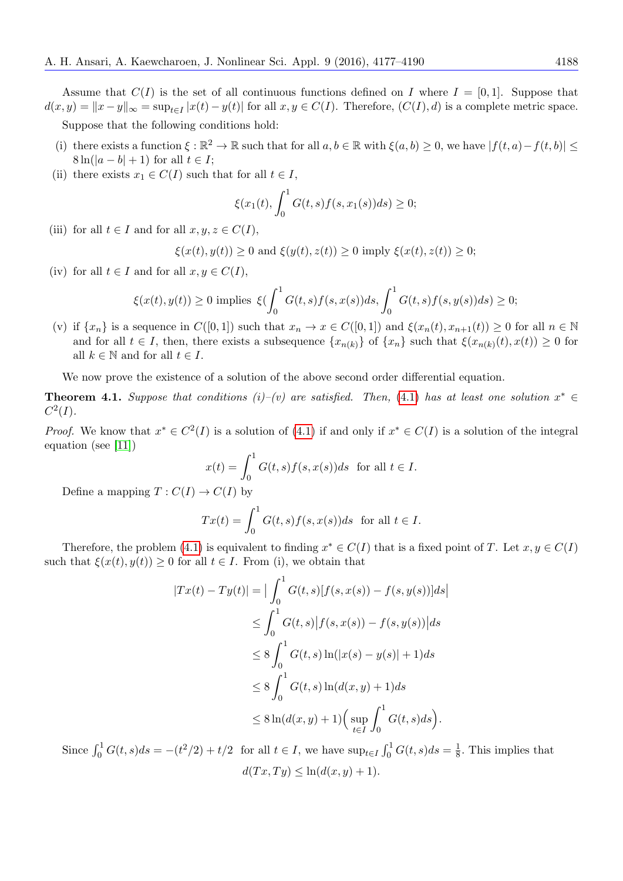Assume that  $C(I)$  is the set of all continuous functions defined on I where  $I = [0, 1]$ . Suppose that  $d(x, y) = ||x - y||_{\infty} = \sup_{t \in I} |x(t) - y(t)|$  for all  $x, y \in C(I)$ . Therefore,  $(C(I), d)$  is a complete metric space.

Suppose that the following conditions hold:

- (i) there exists a function  $\xi : \mathbb{R}^2 \to \mathbb{R}$  such that for all  $a, b \in \mathbb{R}$  with  $\xi(a, b) \geq 0$ , we have  $|f(t, a) f(t, b)| \leq$  $8\ln(|a-b|+1)$  for all  $t\in I$ ;
- (ii) there exists  $x_1 \in C(I)$  such that for all  $t \in I$ ,

$$
\xi(x_1(t), \int_0^1 G(t,s)f(s,x_1(s))ds) \ge 0;
$$

(iii) for all  $t \in I$  and for all  $x, y, z \in C(I)$ ,

$$
\xi(x(t), y(t)) \ge 0 \text{ and } \xi(y(t), z(t)) \ge 0 \text{ imply } \xi(x(t), z(t)) \ge 0;
$$

(iv) for all  $t \in I$  and for all  $x, y \in C(I)$ ,

$$
\xi(x(t),y(t)) \geq 0 \text{ implies } \xi(\int_0^1 G(t,s)f(s,x(s))ds, \int_0^1 G(t,s)f(s,y(s))ds) \geq 0;
$$

(v) if  $\{x_n\}$  is a sequence in  $C([0,1])$  such that  $x_n \to x \in C([0,1])$  and  $\xi(x_n(t), x_{n+1}(t)) \geq 0$  for all  $n \in \mathbb{N}$ and for all  $t \in I$ , then, there exists a subsequence  $\{x_{n(k)}\}$  of  $\{x_n\}$  such that  $\xi(x_{n(k)}(t), x(t)) \geq 0$  for all  $k \in \mathbb{N}$  and for all  $t \in I$ .

We now prove the existence of a solution of the above second order differential equation.

<span id="page-11-0"></span>**Theorem 4.1.** Suppose that conditions (i)–(v) are satisfied. Then, [\(4.1\)](#page-10-0) has at least one solution  $x^* \in$  $C^2(I).$ 

*Proof.* We know that  $x^* \in C^2(I)$  is a solution of [\(4.1\)](#page-10-0) if and only if  $x^* \in C(I)$  is a solution of the integral equation (see [\[11\]](#page-13-10))

$$
x(t) = \int_0^1 G(t, s) f(s, x(s)) ds \text{ for all } t \in I.
$$
  

$$
\Rightarrow C(I) \text{ by}
$$

Define a mapping  $T: C(I) \to C(I)$  by

$$
Tx(t) = \int_0^1 G(t,s)f(s,x(s))ds \text{ for all } t \in I.
$$

Therefore, the problem [\(4.1\)](#page-10-0) is equivalent to finding  $x^* \in C(I)$  that is a fixed point of T. Let  $x, y \in C(I)$ such that  $\xi(x(t), y(t)) \geq 0$  for all  $t \in I$ . From (i), we obtain that

$$
|Tx(t) - Ty(t)| = \left| \int_0^1 G(t, s)[f(s, x(s)) - f(s, y(s))]ds \right|
$$
  
\n
$$
\leq \int_0^1 G(t, s)|f(s, x(s)) - f(s, y(s))|ds
$$
  
\n
$$
\leq 8 \int_0^1 G(t, s) \ln(|x(s) - y(s)| + 1)ds
$$
  
\n
$$
\leq 8 \int_0^1 G(t, s) \ln(d(x, y) + 1)ds
$$
  
\n
$$
\leq 8 \ln(d(x, y) + 1) \Big( \sup_{t \in I} \int_0^1 G(t, s)ds \Big).
$$

Since  $\int_0^1 G(t, s)ds = -(t^2/2) + t/2$  for all  $t \in I$ , we have  $\sup_{t \in I} \int_0^1 G(t, s)ds = \frac{1}{8}$  $\frac{1}{8}$ . This implies that  $d(Tx, Ty) \leq \ln(d(x, y) + 1).$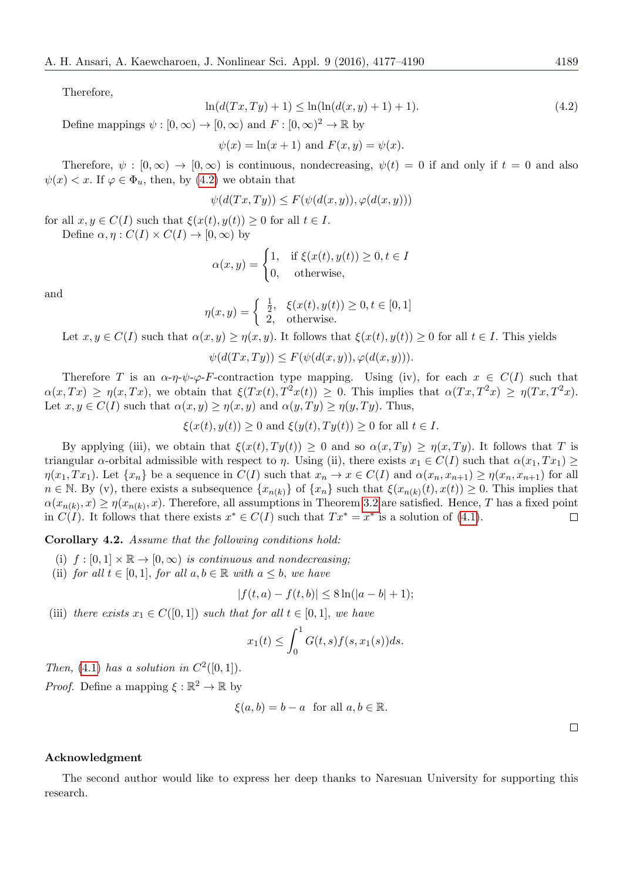Therefore,

<span id="page-12-0"></span>
$$
\ln(d(Tx, Ty) + 1) \le \ln(\ln(d(x, y) + 1) + 1). \tag{4.2}
$$

Define mappings  $\psi : [0, \infty) \to [0, \infty)$  and  $F : [0, \infty)^2 \to \mathbb{R}$  by

 $\psi(x) = \ln(x+1)$  and  $F(x, y) = \psi(x)$ .

Therefore,  $\psi : [0, \infty) \to [0, \infty)$  is continuous, nondecreasing,  $\psi(t) = 0$  if and only if  $t = 0$  and also  $\psi(x) < x$ . If  $\varphi \in \Phi_u$ , then, by [\(4.2\)](#page-12-0) we obtain that

$$
\psi(d(Tx, Ty)) \le F(\psi(d(x, y)), \varphi(d(x, y)))
$$

for all  $x, y \in C(I)$  such that  $\xi(x(t), y(t)) \geq 0$  for all  $t \in I$ . Define  $\alpha, \eta : C(I) \times C(I) \rightarrow [0, \infty)$  by

$$
\alpha(x, y) = \begin{cases} 1, & \text{if } \xi(x(t), y(t)) \ge 0, t \in I \\ 0, & \text{otherwise,} \end{cases}
$$

and

$$
\eta(x, y) = \begin{cases} \frac{1}{2}, & \xi(x(t), y(t)) \ge 0, t \in [0, 1] \\ 2, & \text{otherwise.} \end{cases}
$$

Let  $x, y \in C(I)$  such that  $\alpha(x, y) \geq \eta(x, y)$ . It follows that  $\xi(x(t), y(t)) \geq 0$  for all  $t \in I$ . This yields

$$
\psi(d(Tx,Ty)) \le F(\psi(d(x,y)), \varphi(d(x,y))).
$$

Therefore T is an  $\alpha$ -η- $\psi$ - $\varphi$ -F-contraction type mapping. Using (iv), for each  $x \in C(I)$  such that  $\alpha(x,Tx) \geq \eta(x,Tx)$ , we obtain that  $\xi(Tx(t),T^2x(t)) \geq 0$ . This implies that  $\alpha(Tx,T^2x) \geq \eta(Tx,T^2x)$ . Let  $x, y \in C(I)$  such that  $\alpha(x, y) \geq \eta(x, y)$  and  $\alpha(y, Ty) \geq \eta(y, Ty)$ . Thus,

$$
\xi(x(t), y(t)) \ge 0
$$
 and  $\xi(y(t), Ty(t)) \ge 0$  for all  $t \in I$ .

By applying (iii), we obtain that  $\xi(x(t), Ty(t)) \geq 0$  and so  $\alpha(x, Ty) \geq \eta(x, Ty)$ . It follows that T is triangular  $\alpha$ -orbital admissible with respect to  $\eta$ . Using (ii), there exists  $x_1 \in C(I)$  such that  $\alpha(x_1, Tx_1) \ge$  $\eta(x_1, Tx_1)$ . Let  $\{x_n\}$  be a sequence in  $C(I)$  such that  $x_n \to x \in C(I)$  and  $\alpha(x_n, x_{n+1}) \geq \eta(x_n, x_{n+1})$  for all  $n \in \mathbb{N}$ . By (v), there exists a subsequence  $\{x_{n(k)}\}$  of  $\{x_n\}$  such that  $\xi(x_{n(k)}(t), x(t)) \geq 0$ . This implies that  $\alpha(x_{n(k)}, x) \ge \eta(x_{n(k)}, x)$ . Therefore, all assumptions in Theorem [3.2](#page-8-0) are satisfied. Hence, T has a fixed point in  $C(I)$ . It follows that there exists  $x^* \in C(I)$  such that  $Tx^* = x^*$  is a solution of [\(4.1\)](#page-10-0).  $\Box$ 

Corollary 4.2. Assume that the following conditions hold:

- (i)  $f : [0,1] \times \mathbb{R} \to [0,\infty)$  is continuous and nondecreasing;
- (ii) for all  $t \in [0,1]$ , for all  $a, b \in \mathbb{R}$  with  $a \leq b$ , we have

$$
|f(t, a) - f(t, b)| \le 8\ln(|a - b| + 1);
$$

(iii) there exists  $x_1 \in C([0,1])$  such that for all  $t \in [0,1]$ , we have

$$
x_1(t) \le \int_0^1 G(t,s)f(s,x_1(s))ds.
$$

Then, [\(4.1\)](#page-10-0) has a solution in  $C^2([0,1])$ .

*Proof.* Define a mapping  $\xi : \mathbb{R}^2 \to \mathbb{R}$  by

$$
\xi(a,b) = b - a \text{ for all } a, b \in \mathbb{R}.
$$

 $\Box$ 

#### Acknowledgment

The second author would like to express her deep thanks to Naresuan University for supporting this research.